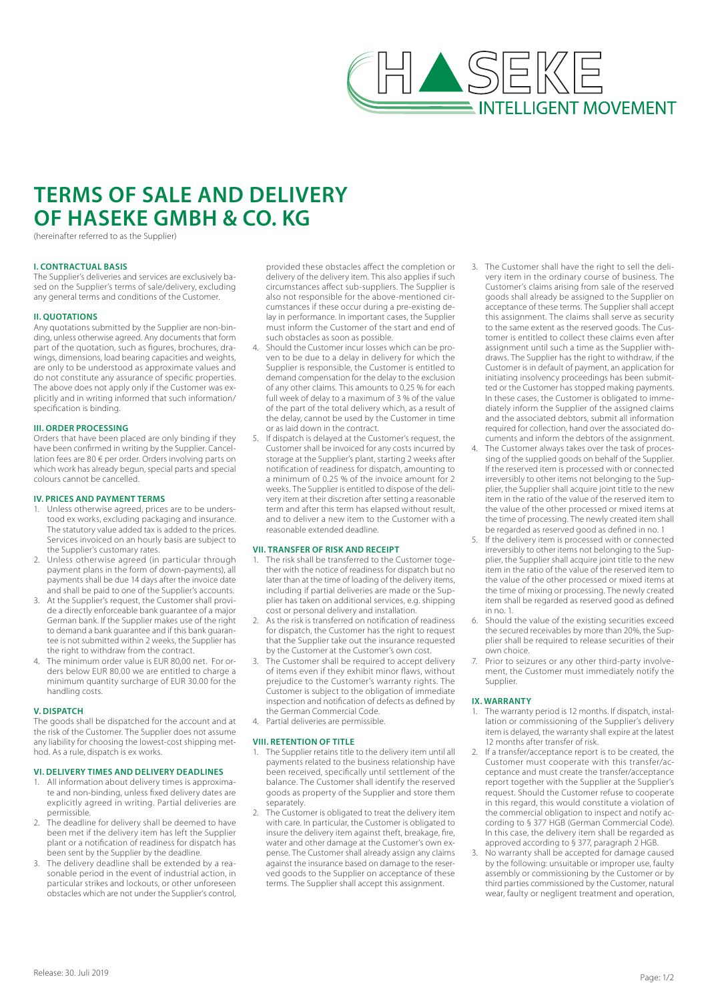

# **TERMS OF SALE AND DELIVERY OF HASEKE GMBH & CO. KG**

(hereinafter referred to as the Supplier)

# **I. CONTRACTUAL BASIS**

The Supplier's deliveries and services are exclusively based on the Supplier's terms of sale/delivery, excluding any general terms and conditions of the Customer.

#### **II. QUOTATIONS**

Any quotations submitted by the Supplier are non-binding, unless otherwise agreed. Any documents that form part of the quotation, such as figures, brochures, drawings, dimensions, load bearing capacities and weights, are only to be understood as approximate values and do not constitute any assurance of specific properties. The above does not apply only if the Customer was explicitly and in writing informed that such information/ specification is binding.

# **III. ORDER PROCESSING**

Orders that have been placed are only binding if they have been confirmed in writing by the Supplier. Cancellation fees are 80 € per order. Orders involving parts on which work has already begun, special parts and special colours cannot be cancelled.

#### **IV. PRICES AND PAYMENT TERMS**

- 1. Unless otherwise agreed, prices are to be understood ex works, excluding packaging and insurance. The statutory value added tax is added to the prices. Services invoiced on an hourly basis are subject to the Supplier's customary rates.
- 2. Unless otherwise agreed (in particular through payment plans in the form of down-payments), all payments shall be due 14 days after the invoice date and shall be paid to one of the Supplier's accounts.
- 3. At the Supplier's request, the Customer shall provide a directly enforceable bank guarantee of a major German bank. If the Supplier makes use of the right to demand a bank guarantee and if this bank guarantee is not submitted within 2 weeks, the Supplier has the right to withdraw from the contract.
- The minimum order value is EUR 80,00 net. For orders below EUR 80.00 we are entitled to charge a minimum quantity surcharge of EUR 30.00 for the handling costs.

#### **V. DISPATCH**

The goods shall be dispatched for the account and at the risk of the Customer. The Supplier does not assume any liability for choosing the lowest-cost shipping method. As a rule, dispatch is ex works.

# **VI. DELIVERY TIMES AND DELIVERY DEADLINES**

- 1. All information about delivery times is approximate and non-binding, unless fixed delivery dates are explicitly agreed in writing. Partial deliveries are permissible.
- 2. The deadline for delivery shall be deemed to have been met if the delivery item has left the Supplier plant or a notification of readiness for dispatch has been sent by the Supplier by the deadline.
- 3. The delivery deadline shall be extended by a reasonable period in the event of industrial action, in particular strikes and lockouts, or other unforeseen obstacles which are not under the Supplier's control,

provided these obstacles affect the completion or delivery of the delivery item. This also applies if such circumstances affect sub-suppliers. The Supplier is also not responsible for the above-mentioned circumstances if these occur during a pre-existing delay in performance. In important cases, the Supplier must inform the Customer of the start and end of such obstacles as soon as possible.

- 4. Should the Customer incur losses which can be proven to be due to a delay in delivery for which the Supplier is responsible, the Customer is entitled to demand compensation for the delay to the exclusion of any other claims. This amounts to 0.25 % for each full week of delay to a maximum of 3 % of the value of the part of the total delivery which, as a result of the delay, cannot be used by the Customer in time or as laid down in the contract.
- 5. If dispatch is delayed at the Customer's request, the Customer shall be invoiced for any costs incurred by storage at the Supplier's plant, starting 2 weeks after notification of readiness for dispatch, amounting to a minimum of 0.25 % of the invoice amount for 2 weeks. The Supplier is entitled to dispose of the delivery item at their discretion after setting a reasonable term and after this term has elapsed without result, and to deliver a new item to the Customer with a reasonable extended deadline.

#### **VII. TRANSFER OF RISK AND RECEIPT**

- The risk shall be transferred to the Customer together with the notice of readiness for dispatch but no later than at the time of loading of the delivery items, including if partial deliveries are made or the Supplier has taken on additional services, e.g. shipping cost or personal delivery and installation.
- 2. As the risk is transferred on notification of readiness for dispatch, the Customer has the right to request that the Supplier take out the insurance requested by the Customer at the Customer's own cost.
- The Customer shall be required to accept delivery of items even if they exhibit minor flaws, without prejudice to the Customer's warranty rights. The Customer is subject to the obligation of immediate inspection and notification of defects as defined by the German Commercial Code.
- 4. Partial deliveries are permissible.

#### **VIII. RETENTION OF TITLE**

- The Supplier retains title to the delivery item until all payments related to the business relationship have been received, specifically until settlement of the balance. The Customer shall identify the reserved goods as property of the Supplier and store them separately.
- The Customer is obligated to treat the delivery item with care. In particular, the Customer is obligated to insure the delivery item against theft, breakage, fire, water and other damage at the Customer's own expense. The Customer shall already assign any claims against the insurance based on damage to the reserved goods to the Supplier on acceptance of these terms. The Supplier shall accept this assignment.
- 3. The Customer shall have the right to sell the delivery item in the ordinary course of business. The Customer's claims arising from sale of the reserved goods shall already be assigned to the Supplier on acceptance of these terms. The Supplier shall accept this assignment. The claims shall serve as security to the same extent as the reserved goods. The Customer is entitled to collect these claims even after assignment until such a time as the Supplier withdraws. The Supplier has the right to withdraw, if the Customer is in default of payment, an application for initiating insolvency proceedings has been submitted or the Customer has stopped making payments. In these cases, the Customer is obligated to immediately inform the Supplier of the assigned claims and the associated debtors, submit all information required for collection, hand over the associated documents and inform the debtors of the assignment.
- 4. The Customer always takes over the task of processing of the supplied goods on behalf of the Supplier. If the reserved item is processed with or connected irreversibly to other items not belonging to the Supplier, the Supplier shall acquire joint title to the new item in the ratio of the value of the reserved item to the value of the other processed or mixed items at the time of processing. The newly created item shall be regarded as reserved good as defined in no. 1
- 5. If the delivery item is processed with or connected irreversibly to other items not belonging to the Supplier, the Supplier shall acquire joint title to the new item in the ratio of the value of the reserved item to the value of the other processed or mixed items at the time of mixing or processing. The newly created item shall be regarded as reserved good as defined in no. 1.
- 6. Should the value of the existing securities exceed the secured receivables by more than 20%, the Supplier shall be required to release securities of their own choice.
- Prior to seizures or any other third-party involvement, the Customer must immediately notify the Supplier.

## **IX. WARRANTY**

- 1. The warranty period is 12 months. If dispatch, installation or commissioning of the Supplier's delivery item is delayed, the warranty shall expire at the latest 12 months after transfer of risk.
- 2. If a transfer/acceptance report is to be created, the Customer must cooperate with this transfer/acceptance and must create the transfer/acceptance report together with the Supplier at the Supplier's request. Should the Customer refuse to cooperate in this regard, this would constitute a violation of the commercial obligation to inspect and notify according to § 377 HGB (German Commercial Code). In this case, the delivery item shall be regarded as approved according to § 377, paragraph 2 HGB.
- No warranty shall be accepted for damage caused by the following: unsuitable or improper use, faulty assembly or commissioning by the Customer or by third parties commissioned by the Customer, natural wear, faulty or negligent treatment and operation,